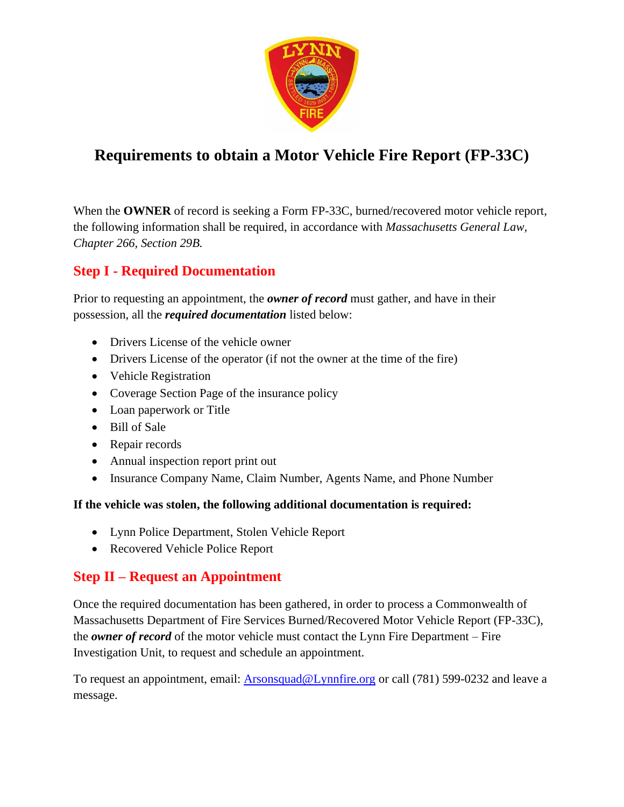

# **Requirements to obtain a Motor Vehicle Fire Report (FP-33C)**

When the **OWNER** of record is seeking a Form FP-33C, burned/recovered motor vehicle report, the following information shall be required, in accordance with *Massachusetts General Law, Chapter 266, Section 29B.*

### **Step I - Required Documentation**

Prior to requesting an appointment, the *owner of record* must gather, and have in their possession, all the *required documentation* listed below:

- Drivers License of the vehicle owner
- Drivers License of the operator (if not the owner at the time of the fire)
- Vehicle Registration
- Coverage Section Page of the insurance policy
- Loan paperwork or Title
- Bill of Sale
- Repair records
- Annual inspection report print out
- Insurance Company Name, Claim Number, Agents Name, and Phone Number

#### **If the vehicle was stolen, the following additional documentation is required:**

- Lynn Police Department, Stolen Vehicle Report
- Recovered Vehicle Police Report

### **Step II – Request an Appointment**

Once the required documentation has been gathered, in order to process a Commonwealth of Massachusetts Department of Fire Services Burned/Recovered Motor Vehicle Report (FP-33C), the *owner of record* of the motor vehicle must contact the Lynn Fire Department – Fire Investigation Unit, to request and schedule an appointment.

To request an appointment, email: [Arsonsquad@Lynnfire.org](mailto:Arsonsquad@Lynnfire.org) or call (781) 599-0232 and leave a message.